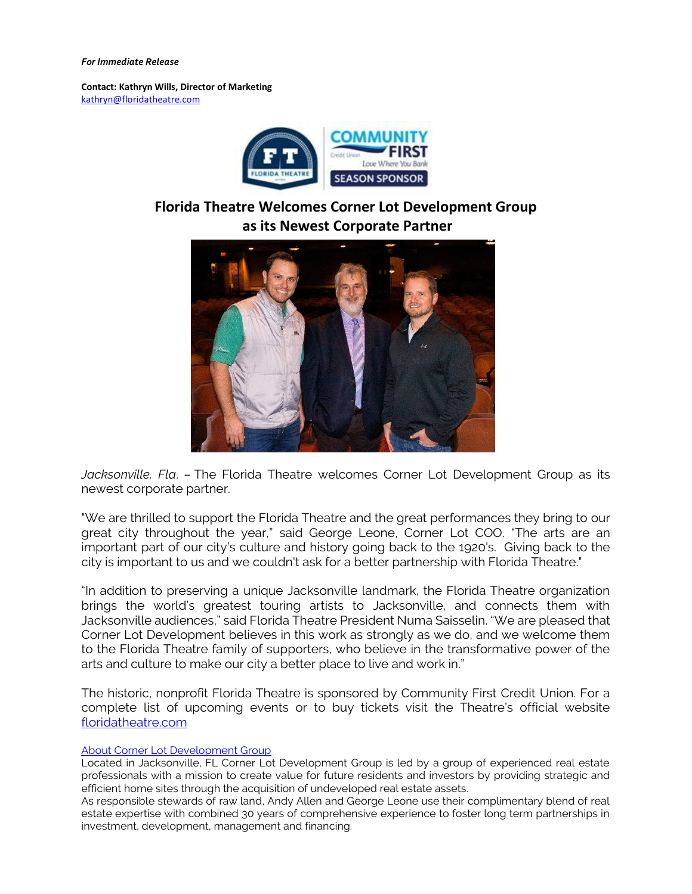## *For Immediate Release*

**Contact: Kathryn Wills, Director of Marketing**  [kathryn@floridatheatre.com](mailto:kathryn@floridatheatre.com)



## **Florida Theatre Welcomes Corner Lot Development Group as its Newest Corporate Partner**



*Jacksonville, Fla*. – The Florida Theatre welcomes Corner Lot Development Group as its newest corporate partner.

"We are thrilled to support the Florida Theatre and the great performances they bring to our great city throughout the year," said George Leone, Corner Lot COO. "The arts are an important part of our city's culture and history going back to the 1920's. Giving back to the city is important to us and we couldn't ask for a better partnership with Florida Theatre."

"In addition to preserving a unique Jacksonville landmark, the Florida Theatre organization brings the world's greatest touring artists to Jacksonville, and connects them with Jacksonville audiences," said Florida Theatre President Numa Saisselin. "We are pleased that Corner Lot Development believes in this work as strongly as we do, and we welcome them to the Florida Theatre family of supporters, who believe in the transformative power of the arts and culture to make our city a better place to live and work in."

The historic, nonprofit Florida Theatre is sponsored by Community First Credit Union. For a complete list of upcoming events or to buy tickets visit the Theatre's official website [floridatheatre.com](http://floridatheatre.com/)

## [About Corner Lot Development Group](https://www.cornerlotdevelopment.com/)

Located in Jacksonville, FL Corner Lot Development Group is led by a group of experienced real estate professionals with a mission to create value for future residents and investors by providing strategic and efficient home sites through the acquisition of undeveloped real estate assets.

As responsible stewards of raw land, Andy Allen and George Leone use their complimentary blend of real estate expertise with combined 30 years of comprehensive experience to foster long term partnerships in investment, development, management and financing.